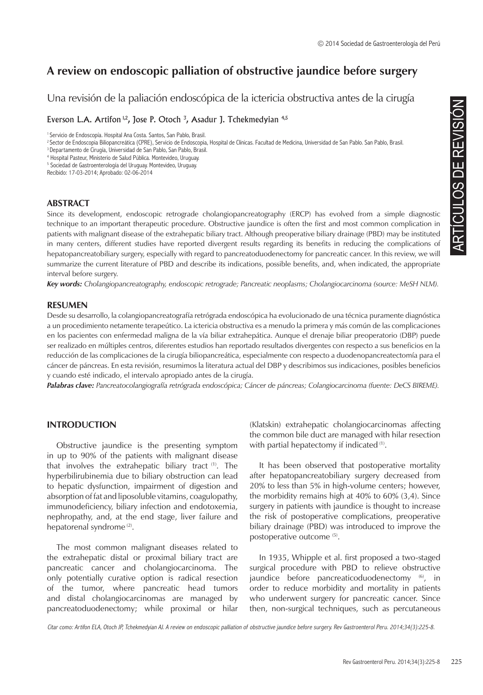## **A review on endoscopic palliation of obstructive jaundice before surgery**

Una revisión de la paliación endoscópica de la ictericia obstructiva antes de la cirugía

Everson L.A. Artifon  $^{1,2}$ , Jose P. Otoch  $^3$ , Asadur J. Tchekmedyian  $^{4,5}$ 

<sup>2</sup> Sector de Endoscopia Biliopancreática (CPRE), Servicio de Endoscopia, Hospital de Clínicas. Facultad de Medicina, Universidad de San Pablo. San Pablo, Brasil.

<sup>3</sup> Departamento de Cirugía, Universidad de San Pablo, San Pablo, Brasil.

4 Hospital Pasteur, Ministerio de Salud Pública. Montevideo, Uruguay.

5 Sociedad de Gastroenterología del Uruguay. Montevideo, Uruguay.

Recibido: 17-03-2014; Aprobado: 02-06-2014

### **ABSTRACT**

Since its development, endoscopic retrograde cholangiopancreatography (ERCP) has evolved from a simple diagnostic technique to an important therapeutic procedure. Obstructive jaundice is often the first and most common complication in patients with malignant disease of the extrahepatic biliary tract. Although preoperative biliary drainage (PBD) may be instituted in many centers, different studies have reported divergent results regarding its benefits in reducing the complications of hepatopancreatobiliary surgery, especially with regard to pancreatoduodenectomy for pancreatic cancer. In this review, we will summarize the current literature of PBD and describe its indications, possible benefits, and, when indicated, the appropriate interval before surgery.

*Key words: Cholangiopancreatography, endoscopic retrograde; Pancreatic neoplasms; Cholangiocarcinoma (source: MeSH NLM).*

### **RESUMEN**

Desde su desarrollo, la colangiopancreatografía retrógrada endoscópica ha evolucionado de una técnica puramente diagnóstica a un procedimiento netamente terapeútico. La ictericia obstructiva es a menudo la primera y más común de las complicaciones en los pacientes con enfermedad maligna de la vía biliar extrahepática. Aunque el drenaje biliar preoperatorio (DBP) puede ser realizado en múltiples centros, diferentes estudios han reportado resultados divergentes con respecto a sus beneficios en la reducción de las complicaciones de la cirugía biliopancreática, especialmente con respecto a duodenopancreatectomía para el cáncer de páncreas. En esta revisión, resumimos la literatura actual del DBP y describimos sus indicaciones, posibles beneficios y cuando esté indicado, el intervalo apropiado antes de la cirugía.

*Palabras clave: Pancreatocolangiografía retrógrada endoscópica; Cáncer de páncreas; Colangiocarcinoma (fuente: DeCS BIREME).*

## **INTRODUCTION**

Obstructive jaundice is the presenting symptom in up to 90% of the patients with malignant disease that involves the extrahepatic biliary tract  $(1)$ . The hyperbilirubinemia due to biliary obstruction can lead to hepatic dysfunction, impairment of digestion and absorption of fat and liposoluble vitamins, coagulopathy, immunodeficiency, biliary infection and endotoxemia, nephropathy, and, at the end stage, liver failure and hepatorenal syndrome<sup>(2)</sup>.

The most common malignant diseases related to the extrahepatic distal or proximal biliary tract are pancreatic cancer and cholangiocarcinoma. The only potentially curative option is radical resection of the tumor, where pancreatic head tumors and distal cholangiocarcinomas are managed by pancreatoduodenectomy; while proximal or hilar

(Klatskin) extrahepatic cholangiocarcinomas affecting the common bile duct are managed with hilar resection with partial hepatectomy if indicated <sup>(1)</sup>.

Review and simple diagnostic<br>
an Pablo. San Pablo, Brasil.<br>
Revel from a simple diagnostic<br>
most common complication in<br>
reducing the complication is<br>
reducing the complications of<br>
recucing the complications of<br>
caracer. It has been observed that postoperative mortality after hepatopancreatobiliary surgery decreased from 20% to less than 5% in high-volume centers; however, the morbidity remains high at 40% to 60% (3,4). Since surgery in patients with jaundice is thought to increase the risk of postoperative complications, preoperative biliary drainage (PBD) was introduced to improve the postoperative outcome (5).

In 1935, Whipple et al. first proposed a two-staged surgical procedure with PBD to relieve obstructive jaundice before pancreaticoduodenectomy (6), in order to reduce morbidity and mortality in patients who underwent surgery for pancreatic cancer. Since then, non-surgical techniques, such as percutaneous

Citar como: Artifon ELA, Otoch JP, Tchekmedyian AJ. A review on endoscopic palliation of obstructive jaundice before surgery. Rev Gastroenterol Peru. 2014;34(3):225-8.

<sup>&</sup>lt;sup>1</sup> Servicio de Endoscopía. Hospital Ana Costa. Santos, San Pablo, Brasil.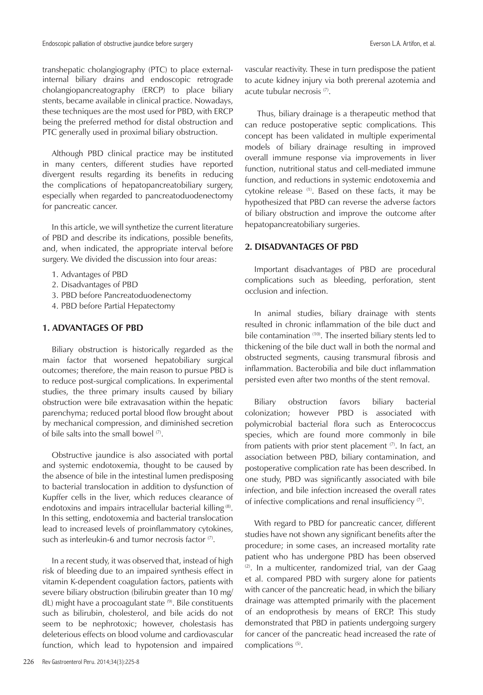transhepatic cholangiography (PTC) to place externalinternal biliary drains and endoscopic retrograde cholangiopancreatography (ERCP) to place biliary stents, became available in clinical practice. Nowadays, these techniques are the most used for PBD, with ERCP being the preferred method for distal obstruction and PTC generally used in proximal biliary obstruction.

Although PBD clinical practice may be instituted in many centers, different studies have reported divergent results regarding its benefits in reducing the complications of hepatopancreatobiliary surgery, especially when regarded to pancreatoduodenectomy for pancreatic cancer.

In this article, we will synthetize the current literature of PBD and describe its indications, possible benefits, and, when indicated, the appropriate interval before surgery. We divided the discussion into four areas:

- 1. Advantages of PBD
- 2. Disadvantages of PBD
- 3. PBD before Pancreatoduodenectomy
- 4. PBD before Partial Hepatectomy

## **1. ADVANTAGES OF PBD**

Biliary obstruction is historically regarded as the main factor that worsened hepatobiliary surgical outcomes; therefore, the main reason to pursue PBD is to reduce post-surgical complications. In experimental studies, the three primary insults caused by biliary obstruction were bile extravasation within the hepatic parenchyma; reduced portal blood flow brought about by mechanical compression, and diminished secretion of bile salts into the small bowel (7).

Obstructive jaundice is also associated with portal and systemic endotoxemia, thought to be caused by the absence of bile in the intestinal lumen predisposing to bacterial translocation in addition to dysfunction of Kupffer cells in the liver, which reduces clearance of endotoxins and impairs intracellular bacterial killing (8). In this setting, endotoxemia and bacterial translocation lead to increased levels of proinflammatory cytokines, such as interleukin-6 and tumor necrosis factor  $(7)$ .

In a recent study, it was observed that, instead of high risk of bleeding due to an impaired synthesis effect in vitamin K-dependent coagulation factors, patients with severe biliary obstruction (bilirubin greater than 10 mg/ dL) might have a procoagulant state (9). Bile constituents such as bilirubin, cholesterol, and bile acids do not seem to be nephrotoxic; however, cholestasis has deleterious effects on blood volume and cardiovascular function, which lead to hypotension and impaired

vascular reactivity. These in turn predispose the patient to acute kidney injury via both prerenal azotemia and acute tubular necrosis (7).

 Thus, biliary drainage is a therapeutic method that can reduce postoperative septic complications. This concept has been validated in multiple experimental models of biliary drainage resulting in improved overall immune response via improvements in liver function, nutritional status and cell-mediated immune function, and reductions in systemic endotoxemia and cytokine release (1). Based on these facts, it may be hypothesized that PBD can reverse the adverse factors of biliary obstruction and improve the outcome after hepatopancreatobiliary surgeries.

## **2. DISADVANTAGES OF PBD**

Important disadvantages of PBD are procedural complications such as bleeding, perforation, stent occlusion and infection.

In animal studies, biliary drainage with stents resulted in chronic inflammation of the bile duct and bile contamination (10). The inserted biliary stents led to thickening of the bile duct wall in both the normal and obstructed segments, causing transmural fibrosis and inflammation. Bacterobilia and bile duct inflammation persisted even after two months of the stent removal.

Biliary obstruction favors biliary bacterial colonization; however PBD is associated with polymicrobial bacterial flora such as Enterococcus species, which are found more commonly in bile from patients with prior stent placement  $(7)$ . In fact, an association between PBD, biliary contamination, and postoperative complication rate has been described. In one study, PBD was significantly associated with bile infection, and bile infection increased the overall rates of infective complications and renal insufficiency (7).

With regard to PBD for pancreatic cancer, different studies have not shown any significant benefits after the procedure; in some cases, an increased mortality rate patient who has undergone PBD has been observed  $(2)$ . In a multicenter, randomized trial, van der Gaag et al. compared PBD with surgery alone for patients with cancer of the pancreatic head, in which the biliary drainage was attempted primarily with the placement of an endoprothesis by means of ERCP. This study demonstrated that PBD in patients undergoing surgery for cancer of the pancreatic head increased the rate of complications<sup>(5)</sup>.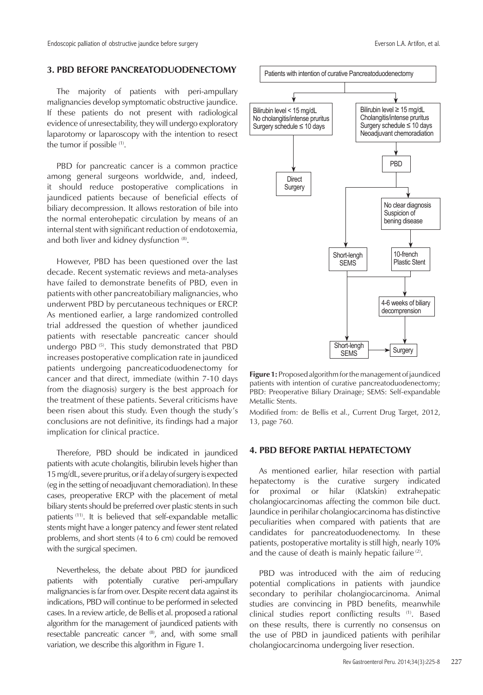## **3. PBD BEFORE PANCREATODUODENECTOMY**

The majority of patients with peri-ampullary malignancies develop symptomatic obstructive jaundice. If these patients do not present with radiological evidence of unresectability, they will undergo exploratory laparotomy or laparoscopy with the intention to resect the tumor if possible <sup>(1)</sup>.

PBD for pancreatic cancer is a common practice among general surgeons worldwide, and, indeed, it should reduce postoperative complications in jaundiced patients because of beneficial effects of biliary decompression. It allows restoration of bile into the normal enterohepatic circulation by means of an internal stent with significant reduction of endotoxemia, and both liver and kidney dysfunction (8).

However, PBD has been questioned over the last decade. Recent systematic reviews and meta-analyses have failed to demonstrate benefits of PBD, even in patients with other pancreatobiliary malignancies, who underwent PBD by percutaneous techniques or ERCP. As mentioned earlier, a large randomized controlled trial addressed the question of whether jaundiced patients with resectable pancreatic cancer should undergo PBD<sup>(5)</sup>. This study demonstrated that PBD increases postoperative complication rate in jaundiced patients undergoing pancreaticoduodenectomy for cancer and that direct, immediate (within 7-10 days from the diagnosis) surgery is the best approach for the treatment of these patients. Several criticisms have been risen about this study. Even though the study's conclusions are not definitive, its findings had a major implication for clinical practice.

Therefore, PBD should be indicated in jaundiced patients with acute cholangitis, bilirubin levels higher than 15 mg/dL, severe pruritus, or if a delay of surgery is expected (eg in the setting of neoadjuvant chemoradiation). In these cases, preoperative ERCP with the placement of metal biliary stents should be preferred over plastic stents in such patients (11). It is believed that self-expandable metallic stents might have a longer patency and fewer stent related problems, and short stents (4 to 6 cm) could be removed with the surgical specimen.

Nevertheless, the debate about PBD for jaundiced patients with potentially curative peri-ampullary malignancies is far from over. Despite recent data against its indications, PBD will continue to be performed in selected cases. In a review article, de Bellis et al. proposed a rational algorithm for the management of jaundiced patients with resectable pancreatic cancer (8), and, with some small variation, we describe this algorithm in Figure 1.



**Figure 1:** Proposed algorithm for the management of jaundiced patients with intention of curative pancreatoduodenectomy; PBD: Preoperative Biliary Drainage; SEMS: Self-expandable Metallic Stents.

Modified from: de Bellis et al., Current Drug Target, 2012, 13, page 760.

## **4. PBD BEFORE PARTIAL HEPATECTOMY**

As mentioned earlier, hilar resection with partial hepatectomy is the curative surgery indicated for proximal or hilar (Klatskin) extrahepatic cholangiocarcinomas affecting the common bile duct. Jaundice in perihilar cholangiocarcinoma has distinctive peculiarities when compared with patients that are candidates for pancreatoduodenectomy. In these patients, postoperative mortality is still high, nearly 10% and the cause of death is mainly hepatic failure  $(2)$ .

PBD was introduced with the aim of reducing potential complications in patients with jaundice secondary to perihilar cholangiocarcinoma. Animal studies are convincing in PBD benefits, meanwhile clinical studies report conflicting results (1). Based on these results, there is currently no consensus on the use of PBD in jaundiced patients with perihilar cholangiocarcinoma undergoing liver resection.